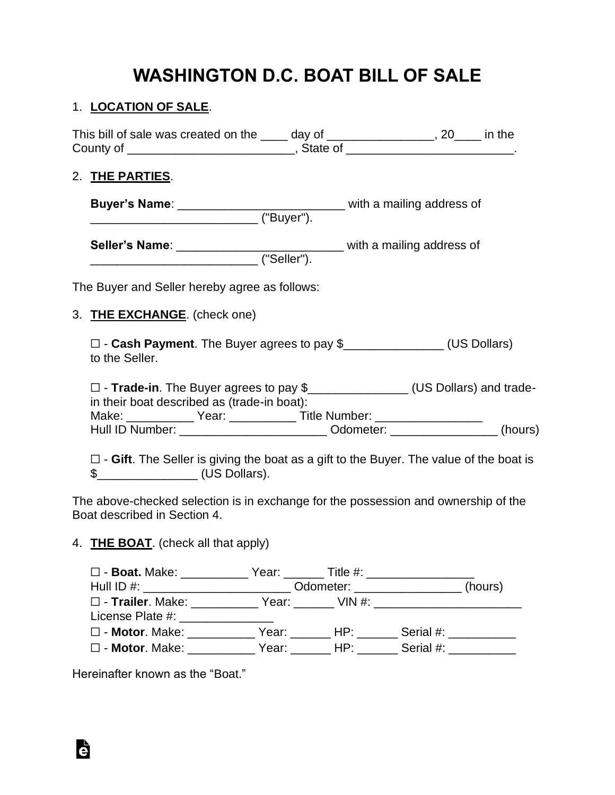## **WASHINGTON D.C. BOAT BILL OF SALE**

### 1. **LOCATION OF SALE**.

| This bill of sale was created on the _____ day of _________________, 20____ in the                                                                                                                                                                                                                      |  |  |
|---------------------------------------------------------------------------------------------------------------------------------------------------------------------------------------------------------------------------------------------------------------------------------------------------------|--|--|
| 2. THE PARTIES.                                                                                                                                                                                                                                                                                         |  |  |
|                                                                                                                                                                                                                                                                                                         |  |  |
| Seller's Name: ________________________________ with a mailing address of                                                                                                                                                                                                                               |  |  |
| The Buyer and Seller hereby agree as follows:                                                                                                                                                                                                                                                           |  |  |
| 3. THE EXCHANGE. (check one)                                                                                                                                                                                                                                                                            |  |  |
| □ - Cash Payment. The Buyer agrees to pay \$________________(US Dollars)<br>to the Seller.                                                                                                                                                                                                              |  |  |
| □ - Trade-in. The Buyer agrees to pay \$<br><u>□</u> (US Dollars) and trade-<br>in their boat described as (trade-in boat):<br>Make: ________________ Year: ________________ Title Number: ____________________<br>Hull ID Number: ______________________________ Odometer: ___________________ (hours) |  |  |
| $\square$ - Gift. The Seller is giving the boat as a gift to the Buyer. The value of the boat is<br>$$$ (US Dollars).                                                                                                                                                                                   |  |  |
| The above-checked selection is in exchange for the possession and ownership of the                                                                                                                                                                                                                      |  |  |

Boat described in Section 4.

## 4. **THE BOAT**. (check all that apply)

| □ - Boat. Make: ____________ Year: _______ Title #: ____________________________ |                                      |  |  |
|----------------------------------------------------------------------------------|--------------------------------------|--|--|
| Hull ID #: ____________________________                                          | _Odometer: __________________(hours) |  |  |
| □ - Trailer. Make: ____________Year: _______ VIN #: ___________________________  |                                      |  |  |
| License Plate #: New York 2014                                                   |                                      |  |  |
| □ - Motor. Make:       Year:    HP:    Serial #:                                 |                                      |  |  |
| □ - Motor. Make:       Year:    HP:    Serial #:                                 |                                      |  |  |

Hereinafter known as the "Boat."

Ġ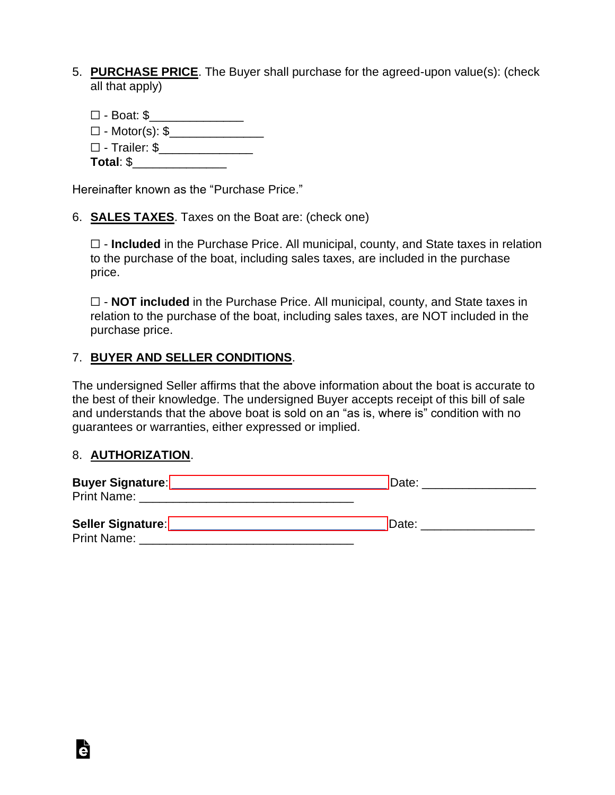- 5. **PURCHASE PRICE**. The Buyer shall purchase for the agreed-upon value(s): (check all that apply)
	- ☐ Boat: \$\_\_\_\_\_\_\_\_\_\_\_\_\_\_ ☐ - Motor(s): \$\_\_\_\_\_\_\_\_\_\_\_\_\_\_ ☐ - Trailer: \$\_\_\_\_\_\_\_\_\_\_\_\_\_\_ **Total**: \$\_\_\_\_\_\_\_\_\_\_\_\_\_\_

Hereinafter known as the "Purchase Price."

6. **SALES TAXES**. Taxes on the Boat are: (check one)

☐ - **Included** in the Purchase Price. All municipal, county, and State taxes in relation to the purchase of the boat, including sales taxes, are included in the purchase price.

☐ - **NOT included** in the Purchase Price. All municipal, county, and State taxes in relation to the purchase of the boat, including sales taxes, are NOT included in the purchase price.

#### 7. **BUYER AND SELLER CONDITIONS**.

The undersigned Seller affirms that the above information about the boat is accurate to the best of their knowledge. The undersigned Buyer accepts receipt of this bill of sale and understands that the above boat is sold on an "as is, where is" condition with no guarantees or warranties, either expressed or implied.

#### 8. **AUTHORIZATION**.

| <b>Buyer Signature:</b> | Date: |  |  |
|-------------------------|-------|--|--|
| <b>Print Name:</b>      |       |  |  |
|                         |       |  |  |
| Seller Signature:       | Date: |  |  |
| <b>Print Name:</b>      |       |  |  |